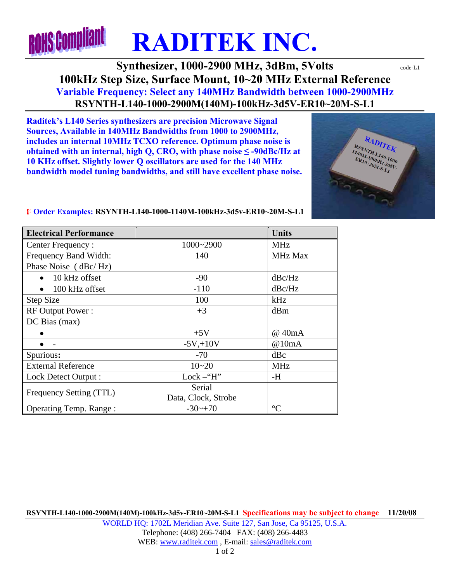## **ROHS Compliant RADITEK INC.**

**Synthesizer, 1000-2900 MHz, 3dBm, 5Volts**  $\text{code-L1}$ **100kHz Step Size, Surface Mount, 10~20 MHz External Reference Variable Frequency: Select any 140MHz Bandwidth between 1000-2900MHz RSYNTH-L140-1000-2900M(140M)-100kHz-3d5V-ER10~20M-S-L1** 

**Raditek's L140 Series synthesizers are precision Microwave Signal Sources, Available in 140MHz Bandwidths from 1000 to 2900MHz, includes an internal 10MHz TCXO reference. Optimum phase noise is obtained with an internal, high Q, CRO, with phase noise**  $\leq$  **-90dBc/Hz at 10 KHz offset. Slightly lower Q oscillators are used for the 140 MHz bandwidth model tuning bandwidths, and still have excellent phase noise.** 



## ¨ **Order Examples: RSYNTH-L140-1000-1140M-100kHz-3d5v-ER10~20M-S-L1**

| <b>Electrical Performance</b> |                      | <b>Units</b>    |
|-------------------------------|----------------------|-----------------|
| Center Frequency:             | 1000~2900            | <b>MHz</b>      |
| Frequency Band Width:         | 140                  | <b>MHz Max</b>  |
| Phase Noise (dBc/Hz)          |                      |                 |
| 10 kHz offset                 | $-90$                | dBc/Hz          |
| 100 kHz offset                | $-110$               | dBc/Hz          |
| <b>Step Size</b>              | 100                  | kHz             |
| RF Output Power:              | $+3$                 | dBm             |
| DC Bias(max)                  |                      |                 |
|                               | $+5V$                | @ 40mA          |
|                               | $-5V + 10V$          | @10mA           |
| Spurious:                     | $-70$                | dBc             |
| <b>External Reference</b>     | $10 - 20$            | <b>MHz</b>      |
| Lock Detect Output:           | Lock $-\text{``H''}$ | -H              |
| Frequency Setting (TTL)       | Serial               |                 |
|                               | Data, Clock, Strobe  |                 |
| <b>Operating Temp. Range:</b> | $-30$ ~+70           | $\rm ^{\circ}C$ |

**RSYNTH-L140-1000-2900M(140M)-100kHz-3d5v-ER10~20M-S-L1 Specifications may be subject to change 11/20/08** WORLD HQ: 1702L Meridian Ave. Suite 127, San Jose, Ca 95125, U.S.A. Telephone: (408) 266-7404 FAX: (408) 266-4483 WEB: www.raditek.com, E-mail: sales@raditek.com